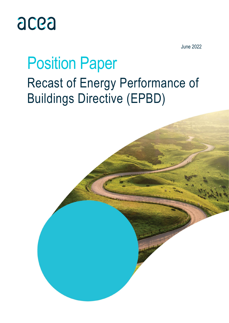

June 2022

## Position Paper Recast of Energy Performance of Buildings Directive (EPBD)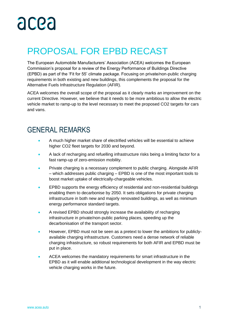## PROPOSAL FOR EPBD RECAST

The European Automobile Manufacturers' Association (ACEA) welcomes the European Commission's proposal for a review of the Energy Performance of Buildings Directive (EPBD) as part of the 'Fit for 55' climate package. Focusing on private/non-public charging requirements in both existing and new buildings, this complements the proposal for the Alternative Fuels Infrastructure Regulation (AFIR).

ACEA welcomes the overall scope of the proposal as it clearly marks an improvement on the current Directive. However, we believe that it needs to be more ambitious to allow the electric vehicle market to ramp-up to the level necessary to meet the proposed CO2 targets for cars and vans.

### GENERAL REMARKS

- A much higher market share of electrified vehicles will be essential to achieve higher CO2 fleet targets for 2030 and beyond.
- A lack of recharging and refuelling infrastructure risks being a limiting factor for a fast ramp-up of zero-emission mobility.
- Private charging is a necessary complement to public charging. Alongside AFIR – which addresses public charging – EPBD is one of the most important tools to boost market uptake of electrically-chargeable vehicles.
- EPBD supports the energy efficiency of residential and non-residential buildings enabling them to decarbonise by 2050. It sets obligations for private charging infrastructure in both new and majorly renovated buildings, as well as minimum energy performance standard targets.
- A revised EPBD should strongly increase the availability of recharging infrastructure in private/non-public parking places, speeding up the decarbonisation of the transport sector.
- However, EPBD must not be seen as a pretext to lower the ambitions for publiclyavailable charging infrastructure. Customers need a dense network of reliable charging infrastructure, so robust requirements for both AFIR and EPBD must be put in place.
- ACEA welcomes the mandatory requirements for smart infrastructure in the EPBD as it will enable additional technological development in the way electric vehicle charging works in the future.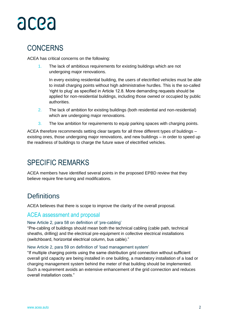## **CONCERNS**

ACEA has critical concerns on the following:

1. The lack of ambitious requirements for existing buildings which are not undergoing major renovations.

In every existing residential building, the users of electrified vehicles must be able to install charging points without high administrative hurdles. This is the so-called 'right to plug' as specified in Article 12.8. More demanding requests should be applied for non-residential buildings, including those owned or occupied by public authorities.

- 2. The lack of ambition for existing buildings (both residential and non-residential) which are undergoing major renovations.
- 3. The low ambition for requirements to equip parking spaces with charging points.

ACEA therefore recommends setting clear targets for all three different types of buildings – existing ones, those undergoing major renovations, and new buildings – in order to speed up the readiness of buildings to charge the future wave of electrified vehicles.

## SPECIFIC REMARKS

ACEA members have identified several points in the proposed EPBD review that they believe require fine-tuning and modifications.

### **Definitions**

ACEA believes that there is scope to improve the clarity of the overall proposal.

#### ACEA assessment and proposal

#### New Article 2, para 58 on definition of 'pre-cabling'

"Pre-cabling of buildings should mean both the technical cabling (cable path, technical sheaths, drilling) and the electrical pre-equipment in collective electrical installations (switchboard, horizontal electrical column, bus cable)."

#### New Article 2, para 59 on definition of 'load management system'

"If multiple charging points using the same distribution grid connection without sufficient overall grid capacity are being installed in one building, a mandatory installation of a load or charging management system behind the meter of that building should be implemented. Such a requirement avoids an extensive enhancement of the grid connection and reduces overall installation costs."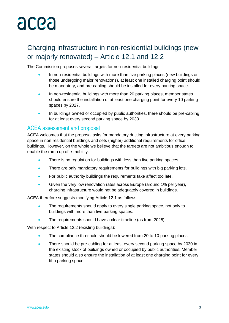## Charging infrastructure in non-residential buildings (new or majorly renovated) – Article 12.1 and 12.2

The Commission proposes several targets for non-residential buildings:

- In non-residential buildings with more than five parking places (new buildings or those undergoing major renovations), at least one installed charging point should be mandatory, and pre-cabling should be installed for every parking space.
- In non-residential buildings with more than 20 parking places, member states should ensure the installation of at least one charging point for every 10 parking spaces by 2027.
- In buildings owned or occupied by public authorities, there should be pre-cabling for at least every second parking space by 2033.

#### ACEA assessment and proposal

ACEA welcomes that the proposal asks for mandatory ducting infrastructure at every parking space in non-residential buildings and sets (higher) additional requirements for office buildings. However, on the whole we believe that the targets are not ambitious enough to enable the ramp up of e-mobility.

- There is no regulation for buildings with less than five parking spaces.
- There are only mandatory requirements for buildings with big parking lots.
- For public authority buildings the requirements take affect too late.
- Given the very low renovation rates across Europe (around 1% per year), charging infrastructure would not be adequately covered in buildings.

ACEA therefore suggests modifying Article 12.1 as follows:

- The requirements should apply to every single parking space, not only to buildings with more than five parking spaces.
- The requirements should have a clear timeline (as from 2025).

With respect to Article 12.2 (existing buildings):

- The compliance threshold should be lowered from 20 to 10 parking places.
- There should be pre-cabling for at least every second parking space by 2030 in the existing stock of buildings owned or occupied by public authorities. Member states should also ensure the installation of at least one charging point for every fifth parking space.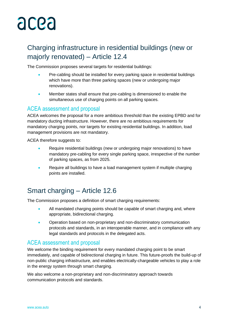## Charging infrastructure in residential buildings (new or majorly renovated) – Article 12.4

The Commission proposes several targets for residential buildings:

- Pre-cabling should be installed for every parking space in residential buildings which have more than three parking spaces (new or undergoing major renovations).
- Member states shall ensure that pre-cabling is dimensioned to enable the simultaneous use of charging points on all parking spaces.

#### ACEA assessment and proposal

ACEA welcomes the proposal for a more ambitious threshold than the existing EPBD and for mandatory ducting infrastructure. However, there are no ambitious requirements for mandatory charging points, nor targets for existing residential buildings. In addition, load management provisions are not mandatory.

ACEA therefore suggests to:

- Require residential buildings (new or undergoing major renovations) to have mandatory pre-cabling for every single parking space, irrespective of the number of parking spaces, as from 2025.
- Require all buildings to have a load management system if multiple charging points are installed.

### Smart charging – Article 12.6

The Commission proposes a definition of smart charging requirements:

- All mandated charging points should be capable of smart charging and, where appropriate, bidirectional charging.
- Operation based on non-proprietary and non-discriminatory communication protocols and standards, in an interoperable manner, and in compliance with any legal standards and protocols in the delegated acts.

#### ACEA assessment and proposal

We welcome the binding requirement for every mandated charging point to be smart immediately, and capable of bidirectional charging in future. This future-proofs the build-up of non-public charging infrastructure, and enables electrically-chargeable vehicles to play a role in the energy system through smart charging.

We also welcome a non-proprietary and non-discriminatory approach towards communication protocols and standards.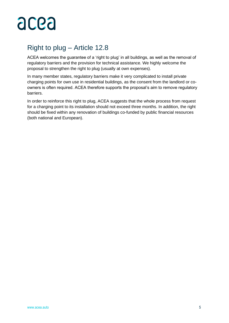

### Right to plug – Article 12.8

ACEA welcomes the guarantee of a 'right to plug' in all buildings, as well as the removal of regulatory barriers and the provision for technical assistance. We highly welcome the proposal to strengthen the right to plug (usually at own expenses).

In many member states, regulatory barriers make it very complicated to install private charging points for own use in residential buildings, as the consent from the landlord or coowners is often required. ACEA therefore supports the proposal's aim to remove regulatory barriers.

In order to reinforce this right to plug, ACEA suggests that the whole process from request for a charging point to its installation should not exceed three months. In addition, the right should be fixed within any renovation of buildings co-funded by public financial resources (both national and European).